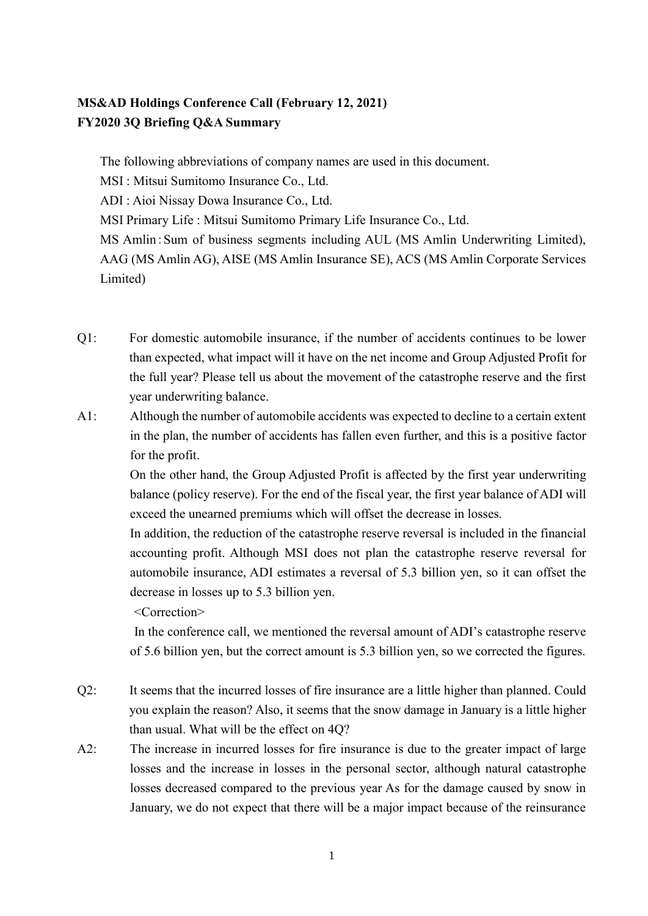## **MS&AD Holdings Conference Call (February 12, 2021) FY2020 3Q Briefing Q&A Summary**

The following abbreviations of company names are used in this document.

MSI : Mitsui Sumitomo Insurance Co., Ltd.

ADI : Aioi Nissay Dowa Insurance Co., Ltd.

MSI Primary Life : Mitsui Sumitomo Primary Life Insurance Co., Ltd.

MS Amlin:Sum of business segments including AUL (MS Amlin Underwriting Limited), AAG (MS Amlin AG), AISE (MS Amlin Insurance SE), ACS (MS Amlin Corporate Services Limited)

- Q1: For domestic automobile insurance, if the number of accidents continues to be lower than expected, what impact will it have on the net income and Group Adjusted Profit for the full year? Please tell us about the movement of the catastrophe reserve and the first year underwriting balance.
- A1: Although the number of automobile accidents was expected to decline to a certain extent in the plan, the number of accidents has fallen even further, and this is a positive factor for the profit.

On the other hand, the Group Adjusted Profit is affected by the first year underwriting balance (policy reserve). For the end of the fiscal year, the first year balance of ADI will exceed the unearned premiums which will offset the decrease in losses.

In addition, the reduction of the catastrophe reserve reversal is included in the financial accounting profit. Although MSI does not plan the catastrophe reserve reversal for automobile insurance, ADI estimates a reversal of 5.3 billion yen, so it can offset the decrease in losses up to 5.3 billion yen.

<Correction>

 In the conference call, we mentioned the reversal amount of ADI's catastrophe reserve of 5.6 billion yen, but the correct amount is 5.3 billion yen, so we corrected the figures.

- Q2: It seems that the incurred losses of fire insurance are a little higher than planned. Could you explain the reason? Also, it seems that the snow damage in January is a little higher than usual. What will be the effect on 4Q?
- A2: The increase in incurred losses for fire insurance is due to the greater impact of large losses and the increase in losses in the personal sector, although natural catastrophe losses decreased compared to the previous year As for the damage caused by snow in January, we do not expect that there will be a major impact because of the reinsurance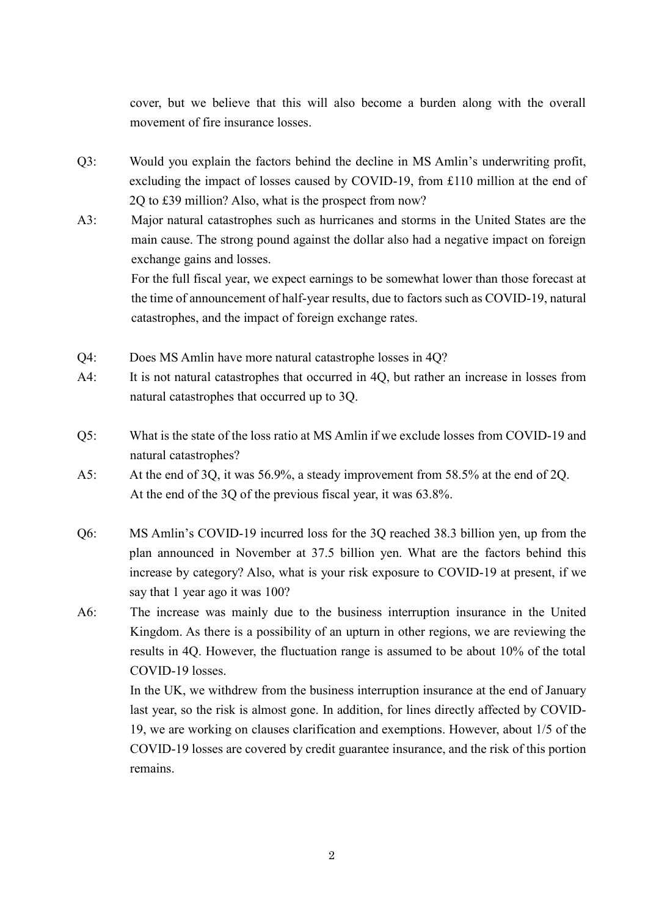cover, but we believe that this will also become a burden along with the overall movement of fire insurance losses.

- Q3: Would you explain the factors behind the decline in MS Amlin's underwriting profit, excluding the impact of losses caused by COVID-19, from £110 million at the end of 2Q to £39 million? Also, what is the prospect from now?
- A3: Major natural catastrophes such as hurricanes and storms in the United States are the main cause. The strong pound against the dollar also had a negative impact on foreign exchange gains and losses.

For the full fiscal year, we expect earnings to be somewhat lower than those forecast at the time of announcement of half-year results, due to factors such as COVID-19, natural catastrophes, and the impact of foreign exchange rates.

- Q4: Does MS Amlin have more natural catastrophe losses in 4Q?
- A4: It is not natural catastrophes that occurred in 40, but rather an increase in losses from natural catastrophes that occurred up to 3Q.
- Q5: What is the state of the loss ratio at MS Amlin if we exclude losses from COVID-19 and natural catastrophes?
- A5: At the end of 3Q, it was 56.9%, a steady improvement from 58.5% at the end of 2Q. At the end of the 3O of the previous fiscal year, it was 63.8%.
- Q6: MS Amlin's COVID-19 incurred loss for the 3Q reached 38.3 billion yen, up from the plan announced in November at 37.5 billion yen. What are the factors behind this increase by category? Also, what is your risk exposure to COVID-19 at present, if we say that 1 year ago it was 100?
- A6: The increase was mainly due to the business interruption insurance in the United Kingdom. As there is a possibility of an upturn in other regions, we are reviewing the results in 4Q. However, the fluctuation range is assumed to be about 10% of the total COVID-19 losses.

In the UK, we withdrew from the business interruption insurance at the end of January last year, so the risk is almost gone. In addition, for lines directly affected by COVID-19, we are working on clauses clarification and exemptions. However, about 1/5 of the COVID-19 losses are covered by credit guarantee insurance, and the risk of this portion remains.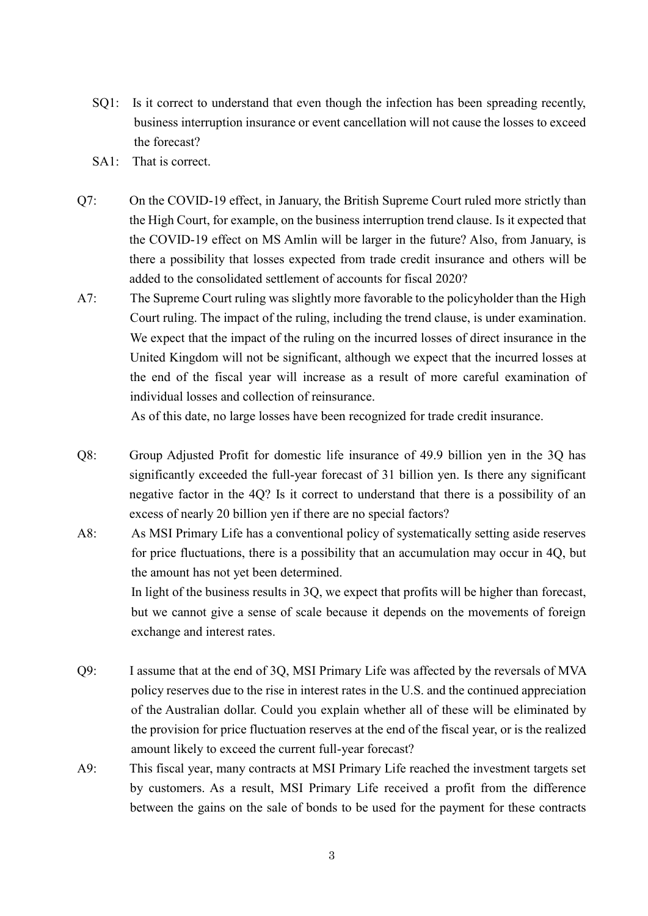- SQ1: Is it correct to understand that even though the infection has been spreading recently, business interruption insurance or event cancellation will not cause the losses to exceed the forecast?
- SA1: That is correct.
- Q7: On the COVID-19 effect, in January, the British Supreme Court ruled more strictly than the High Court, for example, on the business interruption trend clause. Is it expected that the COVID-19 effect on MS Amlin will be larger in the future? Also, from January, is there a possibility that losses expected from trade credit insurance and others will be added to the consolidated settlement of accounts for fiscal 2020?
- A7: The Supreme Court ruling was slightly more favorable to the policyholder than the High Court ruling. The impact of the ruling, including the trend clause, is under examination. We expect that the impact of the ruling on the incurred losses of direct insurance in the United Kingdom will not be significant, although we expect that the incurred losses at the end of the fiscal year will increase as a result of more careful examination of individual losses and collection of reinsurance.

As of this date, no large losses have been recognized for trade credit insurance.

- Q8: Group Adjusted Profit for domestic life insurance of 49.9 billion yen in the 3Q has significantly exceeded the full-year forecast of 31 billion yen. Is there any significant negative factor in the 4Q? Is it correct to understand that there is a possibility of an excess of nearly 20 billion yen if there are no special factors?
- A8: As MSI Primary Life has a conventional policy of systematically setting aside reserves for price fluctuations, there is a possibility that an accumulation may occur in 4Q, but the amount has not yet been determined. In light of the business results in 3Q, we expect that profits will be higher than forecast, but we cannot give a sense of scale because it depends on the movements of foreign exchange and interest rates.
- Q9: I assume that at the end of 3Q, MSI Primary Life was affected by the reversals of MVA policy reserves due to the rise in interest rates in the U.S. and the continued appreciation of the Australian dollar. Could you explain whether all of these will be eliminated by the provision for price fluctuation reserves at the end of the fiscal year, or is the realized amount likely to exceed the current full-year forecast?
- A9: This fiscal year, many contracts at MSI Primary Life reached the investment targets set by customers. As a result, MSI Primary Life received a profit from the difference between the gains on the sale of bonds to be used for the payment for these contracts